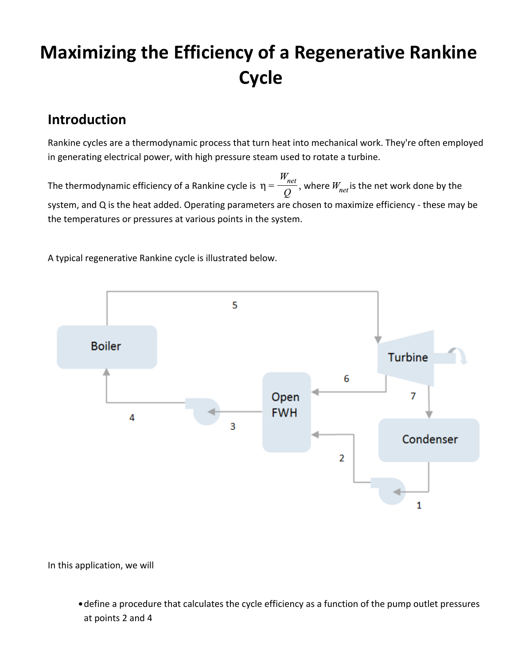# **Maximizing the Efficiency of a Regenerative Rankine Cycle**

### **Introduction**

Rankine cycles are a thermodynamic process that turn heat into mechanical work. They're often employed in generating electrical power, with high pressure steam used to rotate a turbine.

The thermodynamic efficiency of a Rankine cycle is  $\eta = \frac{W_{net}}{O}$ , where  $W_{net}$  is the net work done by the system, and Q is the heat added. Operating parameters are chosen to maximize efficiency - these may be the temperatures or pressures at various points in the system.

A typical regenerative Rankine cycle is illustrated below.



In this application, we will

define a procedure that calculates the cycle efficiency as a function of the pump outlet pressures at points 2 and 4